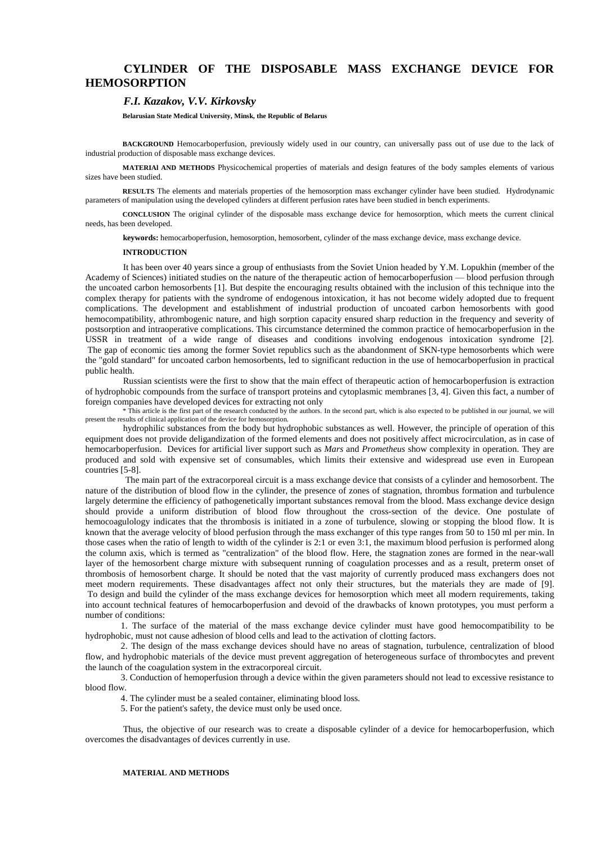# **CYLINDER OF THE DISPOSABLE MASS EXCHANGE DEVICE FOR HEMOSORPTION**

## *F.I. Kazakov, V.V. Kirkovsky*

**Belarusian State Medical University, Minsk, the Republic of Belarus** 

**BACKGROUND** Hemocarboperfusion, previously widely used in our country, can universally pass out of use due to the lack of industrial production of disposable mass exchange devices.

**MATERIAl AND METHODS** Physicochemical properties of materials and design features of the body samples elements of various sizes have been studied.

**RESULTS** The elements and materials properties of the hemosorption mass exchanger cylinder have been studied. Hydrodynamic parameters of manipulation using the developed cylinders at different perfusion rates have been studied in bench experiments.

**CONCLUSION** The original cylinder of the disposable mass exchange device for hemosorption, which meets the current clinical needs, has been developed.

**keywords:** hemocarboperfusion, hemosorption, hemosorbent, cylinder of the mass exchange device, mass exchange device.

## **INTRODUCTION**

It has been over 40 years since a group of enthusiasts from the Soviet Union headed by Y.M. Lopukhin (member of the Academy of Sciences) initiated studies on the nature of the therapeutic action of hemocarboperfusion — blood perfusion through the uncoated carbon hemosorbents [1]. But despite the encouraging results obtained with the inclusion of this technique into the complex therapy for patients with the syndrome of endogenous intoxication, it has not become widely adopted due to frequent complications. The development and establishment of industrial production of uncoated carbon hemosorbents with good hemocompatibility, athrombogenic nature, and high sorption capacity ensured sharp reduction in the frequency and severity of postsorption and intraoperative complications. This circumstance determined the common practice of hemocarboperfusion in the USSR in treatment of a wide range of diseases and conditions involving endogenous intoxication syndrome [2]. The gap of economic ties among the former Soviet republics such as the abandonment of SKN-type hemosorbents which were the "gold standard" for uncoated carbon hemosorbents, led to significant reduction in the use of hemocarboperfusion in practical public health.

Russian scientists were the first to show that the main effect of therapeutic action of hemocarboperfusion is extraction of hydrophobic compounds from the surface of transport proteins and cytoplasmic membranes [3, 4]. Given this fact, a number of foreign companies have developed devices for extracting not only

\* This article is the first part of the research conducted by the authors. In the second part, which is also expected to be published in our journal, we will present the results of clinical application of the device for hemosorption.

hydrophilic substances from the body but hydrophobic substances as well. However, the principle of operation of this equipment does not provide deligandization of the formed elements and does not positively affect microcirculation, as in case of hemocarboperfusion. Devices for artificial liver support such as *Mars* and *Prometheus* show complexity in operation. They are produced and sold with expensive set of consumables, which limits their extensive and widespread use even in European countries [5-8].

The main part of the extracorporeal circuit is a mass exchange device that consists of a cylinder and hemosorbent. The nature of the distribution of blood flow in the cylinder, the presence of zones of stagnation, thrombus formation and turbulence largely determine the efficiency of pathogenetically important substances removal from the blood. Mass exchange device design should provide a uniform distribution of blood flow throughout the cross-section of the device. One postulate of hemocoagulology indicates that the thrombosis is initiated in a zone of turbulence, slowing or stopping the blood flow. It is known that the average velocity of blood perfusion through the mass exchanger of this type ranges from 50 to 150 ml per min. In those cases when the ratio of length to width of the cylinder is 2:1 or even 3:1, the maximum blood perfusion is performed along the column axis, which is termed as "centralization" of the blood flow. Here, the stagnation zones are formed in the near-wall layer of the hemosorbent charge mixture with subsequent running of coagulation processes and as a result, preterm onset of thrombosis of hemosorbent charge. It should be noted that the vast majority of currently produced mass exchangers does not meet modern requirements. These disadvantages affect not only their structures, but the materials they are made of [9]. To design and build the cylinder of the mass exchange devices for hemosorption which meet all modern requirements, taking into account technical features of hemocarboperfusion and devoid of the drawbacks of known prototypes, you must perform a number of conditions:

1. The surface of the material of the mass exchange device cylinder must have good hemocompatibility to be hydrophobic, must not cause adhesion of blood cells and lead to the activation of clotting factors.

2. The design of the mass exchange devices should have no areas of stagnation, turbulence, centralization of blood flow, and hydrophobic materials of the device must prevent aggregation of heterogeneous surface of thrombocytes and prevent the launch of the coagulation system in the extracorporeal circuit.

3. Conduction of hemoperfusion through a device within the given parameters should not lead to excessive resistance to blood flow.

4. The cylinder must be a sealed container, eliminating blood loss.

5. For the patient's safety, the device must only be used once.

Thus, the objective of our research was to create a disposable cylinder of a device for hemocarboperfusion, which overcomes the disadvantages of devices currently in use.

# **MATERIAL AND METHODS**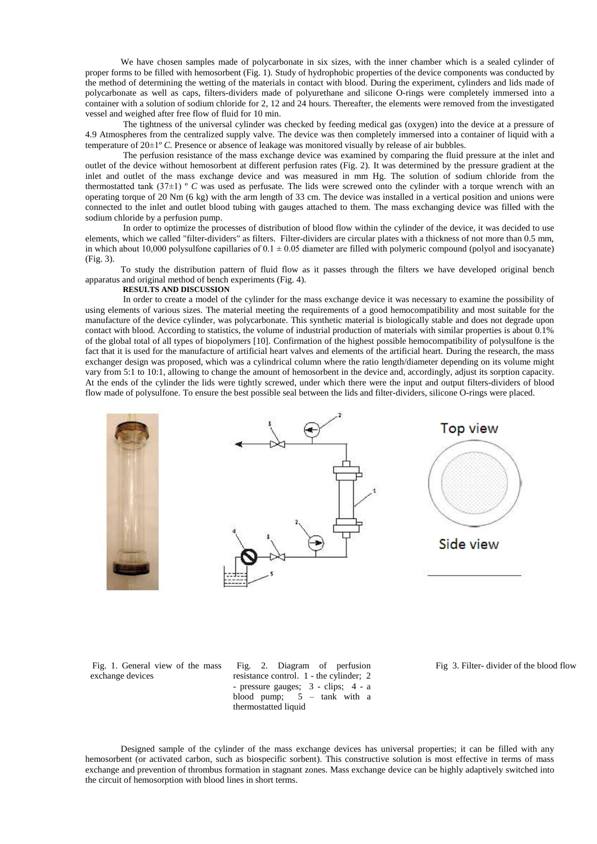We have chosen samples made of polycarbonate in six sizes, with the inner chamber which is a sealed cylinder of proper forms to be filled with hemosorbent (Fig. 1). Study of hydrophobic properties of the device components was conducted by the method of determining the wetting of the materials in contact with blood. During the experiment, cylinders and lids made of polycarbonate as well as caps, filters-dividers made of polyurethane and silicone O-rings were completely immersed into a container with a solution of sodium chloride for 2, 12 and 24 hours. Thereafter, the elements were removed from the investigated vessel and weighed after free flow of fluid for 10 min.

The tightness of the universal cylinder was checked by feeding medical gas (oxygen) into the device at a pressure of 4.9 Atmospheres from the centralized supply valve. The device was then completely immersed into a container of liquid with a temperature of 20±1º *C.* Presence or absence of leakage was monitored visually by release of air bubbles.

The perfusion resistance of the mass exchange device was examined by comparing the fluid pressure at the inlet and outlet of the device without hemosorbent at different perfusion rates (Fig. 2). It was determined by the pressure gradient at the inlet and outlet of the mass exchange device and was measured in mm Hg. The solution of sodium chloride from the thermostatted tank (37±1) º *C* was used as perfusate*.* The lids were screwed onto the cylinder with a torque wrench with an operating torque of 20 Nm (6 kg) with the arm length of 33 cm. The device was installed in a vertical position and unions were connected to the inlet and outlet blood tubing with gauges attached to them. The mass exchanging device was filled with the sodium chloride by a perfusion pump.

In order to optimize the processes of distribution of blood flow within the cylinder of the device, it was decided to use elements, which we called "filter-dividers" as filters. Filter-dividers are circular plates with a thickness of not more than 0.5 mm, in which about 10,000 polysulfone capillaries of  $0.1 \pm 0.05$  diameter are filled with polymeric compound (polyol and isocyanate) (Fig. 3).

To study the distribution pattern of fluid flow as it passes through the filters we have developed original bench apparatus and original method of bench experiments (Fig. 4).

# **RESULTS AND DISCUSSION**

In order to create a model of the cylinder for the mass exchange device it was necessary to examine the possibility of using elements of various sizes. The material meeting the requirements of a good hemocompatibility and most suitable for the manufacture of the device cylinder, was polycarbonate. This synthetic material is biologically stable and does not degrade upon contact with blood. According to statistics, the volume of industrial production of materials with similar properties is about 0.1% of the global total of all types of biopolymers [10]. Confirmation of the highest possible hemocompatibility of polysulfone is the fact that it is used for the manufacture of artificial heart valves and elements of the artificial heart. During the research, the mass exchanger design was proposed, which was a cylindrical column where the ratio length/diameter depending on its volume might vary from 5:1 to 10:1, allowing to change the amount of hemosorbent in the device and, accordingly, adjust its sorption capacity. At the ends of the cylinder the lids were tightly screwed, under which there were the input and output filters-dividers of blood flow made of polysulfone. To ensure the best possible seal between the lids and filter-dividers, silicone O-rings were placed.



Fig. 1. General view of the mass exchange devices

Fig. 2. Diagram of perfusion resistance control. 1 - the cylinder; 2 - pressure gauges; 3 - clips; 4 - a blood pump;  $5 - \text{rank}$  with a thermostatted liquid

Fig 3. Filter- divider of the blood flow

Designed sample of the cylinder of the mass exchange devices has universal properties; it can be filled with any hemosorbent (or activated carbon, such as biospecific sorbent). This constructive solution is most effective in terms of mass exchange and prevention of thrombus formation in stagnant zones. Mass exchange device can be highly adaptively switched into the circuit of hemosorption with blood lines in short terms.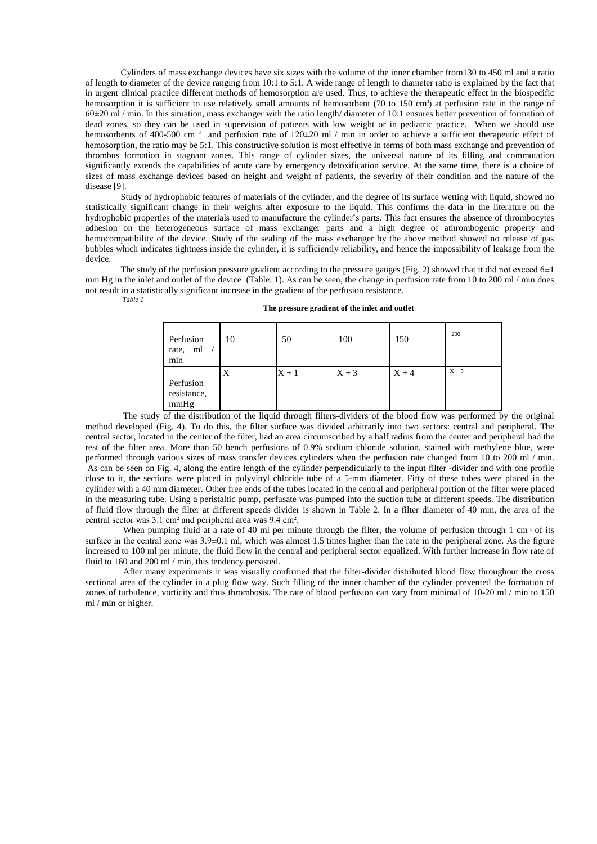Cylinders of mass exchange devices have six sizes with the volume of the inner chamber from130 to 450 ml and a ratio of length to diameter of the device ranging from 10:1 to 5:1. A wide range of length to diameter ratio is explained by the fact that in urgent clinical practice different methods of hemosorption are used. Thus, to achieve the therapeutic effect in the biospecific hemosorption it is sufficient to use relatively small amounts of hemosorbent (70 to 150 cm<sup>3</sup>) at perfusion rate in the range of 60±20 ml / min. In this situation, mass exchanger with the ratio length/ diameter of 10:1 ensures better prevention of formation of dead zones, so they can be used in supervision of patients with low weight or in pediatric practice. When we should use hemosorbents of 400-500 cm<sup>3</sup> and perfusion rate of  $120\pm20$  ml / min in order to achieve a sufficient therapeutic effect of hemosorption, the ratio may be 5:1. This constructive solution is most effective in terms of both mass exchange and prevention of thrombus formation in stagnant zones. This range of cylinder sizes, the universal nature of its filling and commutation significantly extends the capabilities of acute care by emergency detoxification service. At the same time, there is a choice of sizes of mass exchange devices based on height and weight of patients, the severity of their condition and the nature of the disease [9].

Study of hydrophobic features of materials of the cylinder, and the degree of its surface wetting with liquid, showed no statistically significant change in their weights after exposure to the liquid. This confirms the data in the literature on the hydrophobic properties of the materials used to manufacture the cylinder's parts. This fact ensures the absence of thrombocytes adhesion on the heterogeneous surface of mass exchanger parts and a high degree of athrombogenic property and hemocompatibility of the device. Study of the sealing of the mass exchanger by the above method showed no release of gas bubbles which indicates tightness inside the cylinder, it is sufficiently reliability, and hence the impossibility of leakage from the device.

The study of the perfusion pressure gradient according to the pressure gauges (Fig. 2) showed that it did not exceed  $6±1$ mm Hg in the inlet and outlet of the device (Table. 1). As can be seen, the change in perfusion rate from 10 to 200 ml / min does not result in a statistically significant increase in the gradient of the perfusion resistance.

*Table 1* 

| The pressure gradient of the inlet and outlet |  |  |  |  |  |  |
|-----------------------------------------------|--|--|--|--|--|--|
|-----------------------------------------------|--|--|--|--|--|--|

| Perfusion<br>ml<br>rate,<br>min  | 10 | 50      | 100     | 150     | 200     |
|----------------------------------|----|---------|---------|---------|---------|
| Perfusion<br>resistance,<br>mmHg | Χ  | $X + 1$ | $X + 3$ | $X + 4$ | $X + 5$ |

The study of the distribution of the liquid through filters-dividers of the blood flow was performed by the original method developed (Fig. 4). To do this, the filter surface was divided arbitrarily into two sectors: central and peripheral. The central sector, located in the center of the filter, had an area circumscribed by a half radius from the center and peripheral had the rest of the filter area. More than 50 bench perfusions of 0.9% sodium chloride solution, stained with methylene blue, were performed through various sizes of mass transfer devices cylinders when the perfusion rate changed from 10 to 200 ml / min. As can be seen on Fig. 4, along the entire length of the cylinder perpendicularly to the input filter -divider and with one profile close to it, the sections were placed in polyvinyl chloride tube of a 5-mm diameter. Fifty of these tubes were placed in the cylinder with a 40 mm diameter. Other free ends of the tubes located in the central and peripheral portion of the filter were placed in the measuring tube. Using a peristaltic pump, perfusate was pumped into the suction tube at different speeds. The distribution of fluid flow through the filter at different speeds divider is shown in Table 2. In a filter diameter of 40 mm, the area of the central sector was 3.1 cm² and peripheral area was 9.4 cm².

When pumping fluid at a rate of 40 ml per minute through the filter, the volume of perfusion through 1 cm  $\cdot$  of its surface in the central zone was  $3.9\pm0.1$  ml, which was almost 1.5 times higher than the rate in the peripheral zone. As the figure increased to 100 ml per minute, the fluid flow in the central and peripheral sector equalized. With further increase in flow rate of fluid to 160 and 200 ml / min, this tendency persisted.

After many experiments it was visually confirmed that the filter-divider distributed blood flow throughout the cross sectional area of the cylinder in a plug flow way. Such filling of the inner chamber of the cylinder prevented the formation of zones of turbulence, vorticity and thus thrombosis. The rate of blood perfusion can vary from minimal of 10-20 ml / min to 150 ml / min or higher.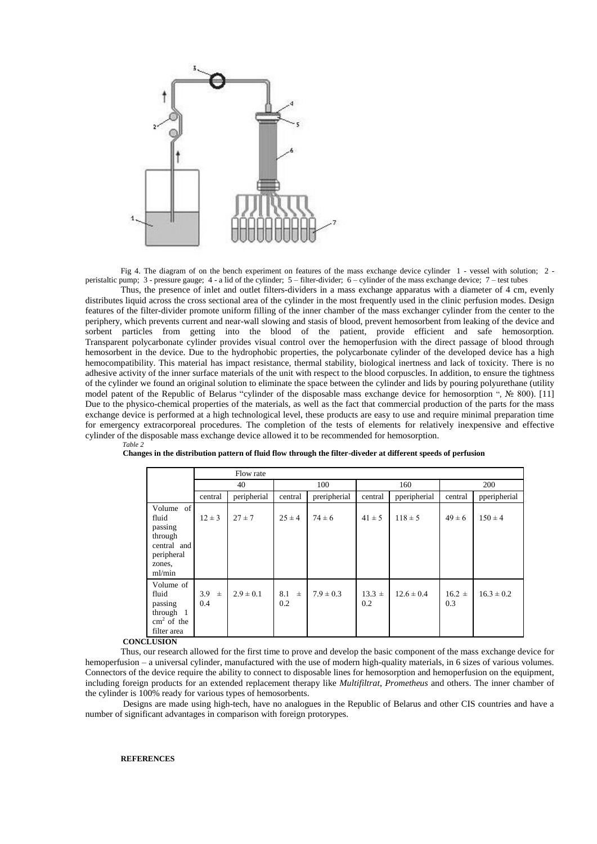

Fig 4. The diagram of on the bench experiment on features of the mass exchange device cylinder 1 - vessel with solution: 2 peristaltic pump; 3 - pressure gauge; 4 - a lid of the cylinder; 5 – filter-divider; 6 – cylinder of the mass exchange device; 7 – test tubes

Thus, the presence of inlet and outlet filters-dividers in a mass exchange apparatus with a diameter of 4 cm, evenly distributes liquid across the cross sectional area of the cylinder in the most frequently used in the clinic perfusion modes. Design features of the filter-divider promote uniform filling of the inner chamber of the mass exchanger cylinder from the center to the periphery, which prevents current and near-wall slowing and stasis of blood, prevent hemosorbent from leaking of the device and sorbent particles from getting into the blood of the patient, provide efficient and safe hemosorption. Transparent polycarbonate cylinder provides visual control over the hemoperfusion with the direct passage of blood through hemosorbent in the device. Due to the hydrophobic properties, the polycarbonate cylinder of the developed device has a high hemocompatibility. This material has impact resistance, thermal stability, biological inertness and lack of toxicity. There is no adhesive activity of the inner surface materials of the unit with respect to the blood corpuscles. In addition, to ensure the tightness of the cylinder we found an original solution to eliminate the space between the cylinder and lids by pouring polyurethane (utility model patent of the Republic of Belarus "cylinder of the disposable mass exchange device for hemosorption ", № 800). [11] Due to the physico-chemical properties of the materials, as well as the fact that commercial production of the parts for the mass exchange device is performed at a high technological level, these products are easy to use and require minimal preparation time for emergency extracorporeal procedures. The completion of the tests of elements for relatively inexpensive and effective cylinder of the disposable mass exchange device allowed it to be recommended for hemosorption.

|                                                                                                     | Flow rate           |               |                     |               |                   |                |                   |                |
|-----------------------------------------------------------------------------------------------------|---------------------|---------------|---------------------|---------------|-------------------|----------------|-------------------|----------------|
|                                                                                                     | 40                  |               | 100                 |               | 160               |                | 200               |                |
|                                                                                                     | central             | peripherial   | central             | preripherial  | central           | pperipherial   | central           | pperipherial   |
| Volume of<br>fluid<br>passing<br>through<br>central and<br>peripheral<br>zones.<br>ml/min           | $12 \pm 3$          | $27 \pm 7$    | $25 \pm 4$          | $74 \pm 6$    | $41 \pm 5$        | $118 \pm 5$    | $49 \pm 6$        | $150 \pm 4$    |
| Volume of<br>fluid<br>passing<br>through 1<br>$\text{cm}^2$ of the<br>filter area<br><b>CLISION</b> | 3.9<br>$\pm$<br>0.4 | $2.9 \pm 0.1$ | 8.1<br>$\pm$<br>0.2 | $7.9 \pm 0.3$ | $13.3 \pm$<br>0.2 | $12.6 \pm 0.4$ | $16.2 \pm$<br>0.3 | $16.3 \pm 0.2$ |

| Table 2 |                                                                                                               |  |  |
|---------|---------------------------------------------------------------------------------------------------------------|--|--|
|         |                                                                                                               |  |  |
|         |                                                                                                               |  |  |
|         | Changes in the distribution pattern of fluid flow through the filter-diveder at different speeds of perfusion |  |  |
|         |                                                                                                               |  |  |

**CONCLUSION** 

Thus, our research allowed for the first time to prove and develop the basic component of the mass exchange device for hemoperfusion – a universal cylinder, manufactured with the use of modern high-quality materials, in 6 sizes of various volumes. Connectors of the device require the ability to connect to disposable lines for hemosorption and hemoperfusion on the equipment, including foreign products for an extended replacement therapy like *Multifiltrat*, *Prometheus* and others. The inner chamber of the cylinder is 100% ready for various types of hemosorbents.

Designs are made using high-tech, have no analogues in the Republic of Belarus and other CIS countries and have a number of significant advantages in comparison with foreign protorypes.